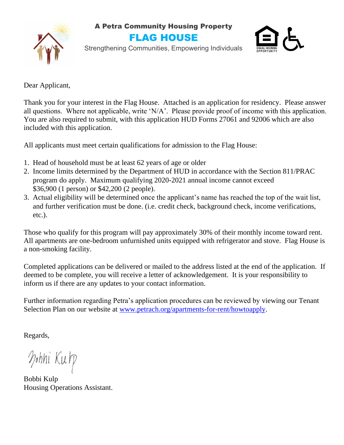A Petra Community Housing Property



FLAG HOUSE



Strengthening Communities, Empowering Individuals

Dear Applicant,

Thank you for your interest in the Flag House. Attached is an application for residency. Please answer all questions. Where not applicable, write 'N/A'. Please provide proof of income with this application. You are also required to submit, with this application HUD Forms 27061 and 92006 which are also included with this application.

All applicants must meet certain qualifications for admission to the Flag House:

- 1. Head of household must be at least 62 years of age or older
- 2. Income limits determined by the Department of HUD in accordance with the Section 811/PRAC program do apply. Maximum qualifying 2020-2021 annual income cannot exceed \$36,900 (1 person) or \$42,200 (2 people).
- 3. Actual eligibility will be determined once the applicant's name has reached the top of the wait list, and further verification must be done. (i.e. credit check, background check, income verifications, etc.).

Those who qualify for this program will pay approximately 30% of their monthly income toward rent. All apartments are one-bedroom unfurnished units equipped with refrigerator and stove. Flag House is a non-smoking facility.

Completed applications can be delivered or mailed to the address listed at the end of the application. If deemed to be complete, you will receive a letter of acknowledgement. It is your responsibility to inform us if there are any updates to your contact information.

Further information regarding Petra's application procedures can be reviewed by viewing our Tenant Selection Plan on our website at [www.petrach.org/apartments-for-rent/howtoapply.](http://www.petrach.org/apartments-for-rent/howtoapply)

Regards,

Mohni Kulp

Bobbi Kulp Housing Operations Assistant.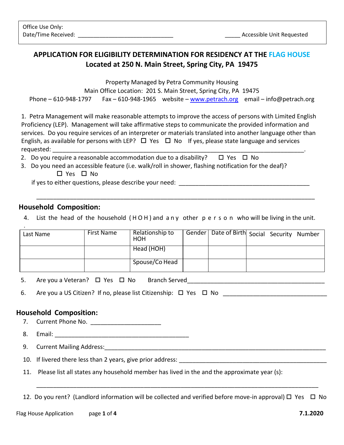# **APPLICATION FOR ELIGIBILITY DETERMINATION FOR RESIDENCY AT THE FLAG HOUSE Located at 250 N. Main Street, Spring City, PA 19475**

Property Managed by Petra Community Housing

Main Office Location: 201 S. Main Street, Spring City, PA 19475

Phone – 610-948-1797 Fax – 610-948-1965 website – [www.petrach.org](http://www.petrach.org/) email – info@petrach.org

1. Petra Management will make reasonable attempts to improve the access of persons with Limited English Proficiency (LEP). Management will take affirmative steps to communicate the provided information and services. Do you require services of an interpreter or materials translated into another language other than English, as available for persons with LEP?  $\Box$  Yes  $\Box$  No If yes, please state language and services requested:

- 2. Do you require a reasonable accommodation due to a disability?  $\Box$  Yes  $\Box$  No
- 3. Do you need an accessible feature (i.e. walk/roll in shower, flashing notification for the deaf)? □ Yes □ No

if yes to either questions, please describe your need: \_\_\_\_\_\_\_\_\_\_\_\_\_\_\_\_\_\_\_\_\_\_\_\_\_\_

## **Household Composition:**

4. List the head of the household ( H O H ) and a n y other p e r s o n who will be living in the unit.

\_\_\_\_\_\_\_\_\_\_\_\_\_\_\_\_\_\_\_\_\_\_\_\_\_\_\_\_\_\_\_\_\_\_\_\_\_\_\_\_\_\_\_\_\_\_\_\_\_\_\_\_\_\_\_\_\_\_\_\_\_\_\_\_\_\_\_\_\_\_\_\_\_\_\_\_\_\_\_\_\_\_\_

| Last Name | First Name | Relationship to<br>HOH | Gender   Date of Birth Social Security Number |  |  |
|-----------|------------|------------------------|-----------------------------------------------|--|--|
|           |            | Head (HOH)             |                                               |  |  |
|           |            | Spouse/Co Head         |                                               |  |  |

5. Are you a Veteran?  $\Box$  Yes  $\Box$  No Branch Served

6. Are you a US Citizen? If no, please list Citizenship:  $\Box$  Yes  $\Box$  No

# **Household Composition:**

7. Current Phone No. \_\_\_\_\_\_\_\_\_\_\_\_\_\_\_\_\_\_\_\_\_

8. Email: **Email: Email: Exercise Email: Exercise Exercise Exercise Exercise Exercise Exercise Exercise Exercise Exercise Exercise Exercise Exercise Exercise Exercise Exercise Exercise Exercise Exercise Exercise Exer** 

9. Current Mailing Address: **Example 2018** 

10. If livered there less than 2 years, give prior address:

11. Please list all states any household member has lived in the and the approximate year (s):

12. Do you rent? (Landlord information will be collected and verified before move-in approval)  $\Box$  Yes  $\Box$  No

\_\_\_\_\_\_\_\_\_\_\_\_\_\_\_\_\_\_\_\_\_\_\_\_\_\_\_\_\_\_\_\_\_\_\_\_\_\_\_\_\_\_\_\_\_\_\_\_\_\_\_\_\_\_\_\_\_\_\_\_\_\_\_\_\_\_\_\_\_\_\_\_\_\_\_\_\_\_\_\_\_\_\_\_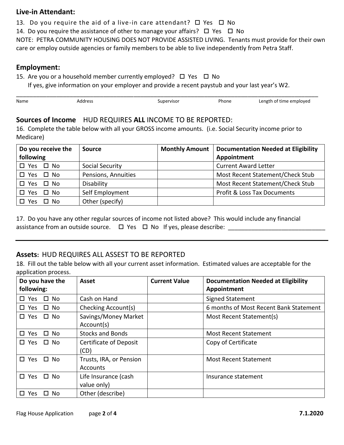#### **Live-in Attendant:**

13. Do you require the aid of a live-in care attendant?  $\Box$  Yes  $\Box$  No

14. Do you require the assistance of other to manage your affairs?  $\Box$  Yes  $\Box$  No

NOTE: PETRA COMMUNITY HOUSING DOES NOT PROVIDE ASSISTED LIVING. Tenants must provide for their own care or employ outside agencies or family members to be able to live independently from Petra Staff.

#### **Employment:**

15. Are you or a household member currently employed?  $\Box$  Yes  $\Box$  No

If yes, give information on your employer and provide a recent paystub and your last year's W2.

| Name | Address | Supervisor | Phone | Length of time employed |
|------|---------|------------|-------|-------------------------|
|      |         |            |       |                         |

## **Sources of Income** HUD REQUIRES **ALL** INCOME TO BE REPORTED:

16. Complete the table below with all your GROSS income amounts. (i.e. Social Security income prior to Medicare)

| Do you receive the<br>following | <b>Source</b>       | <b>Monthly Amount</b> | <b>Documentation Needed at Eligibility</b><br>Appointment |  |  |
|---------------------------------|---------------------|-----------------------|-----------------------------------------------------------|--|--|
| $\square$ Yes<br>$\square$ No   | Social Security     |                       | <b>Current Award Letter</b>                               |  |  |
| □ No<br>$\square$ Yes           | Pensions, Annuities |                       | Most Recent Statement/Check Stub                          |  |  |
| $\Box$ No<br>Yes<br>П.          | Disability          |                       | Most Recent Statement/Check Stub                          |  |  |
| $\square$ No<br>Yes<br>П        | Self Employment     |                       | <b>Profit &amp; Loss Tax Documents</b>                    |  |  |
| No.<br>Yes                      | Other (specify)     |                       |                                                           |  |  |

17. Do you have any other regular sources of income not listed above? This would include any financial assistance from an outside source. Yes No If yes, please describe: \_\_\_\_\_\_\_\_\_\_\_\_\_\_\_\_\_\_\_\_\_\_\_\_\_\_\_\_\_

## **Assets:** HUD REQUIRES ALL ASSEST TO BE REPORTED

18. Fill out the table below with all your current asset information. Estimated values are acceptable for the application process.

| Do you have the<br>following: | <b>Asset</b>                        | <b>Current Value</b> | <b>Documentation Needed at Eligibility</b><br>Appointment |  |  |
|-------------------------------|-------------------------------------|----------------------|-----------------------------------------------------------|--|--|
| $\square$ Yes<br>$\square$ No | Cash on Hand                        |                      | <b>Signed Statement</b>                                   |  |  |
| $\square$ No<br>$\square$ Yes | Checking Account(s)                 |                      | 6 months of Most Recent Bank Statement                    |  |  |
| $\square$ Yes<br>$\square$ No | Savings/Money Market<br>Account(s)  |                      | Most Recent Statement(s)                                  |  |  |
| $\square$ Yes<br>$\square$ No | <b>Stocks and Bonds</b>             |                      | <b>Most Recent Statement</b>                              |  |  |
| $\square$ Yes<br>$\square$ No | Certificate of Deposit<br>(CD)      |                      | Copy of Certificate                                       |  |  |
| $\square$ Yes<br>$\square$ No | Trusts, IRA, or Pension<br>Accounts |                      | <b>Most Recent Statement</b>                              |  |  |
| $\square$ Yes<br>$\Box$ No    | Life Insurance (cash<br>value only) |                      | Insurance statement                                       |  |  |
| Yes.<br>- No<br>П.<br>LΙ      | Other (describe)                    |                      |                                                           |  |  |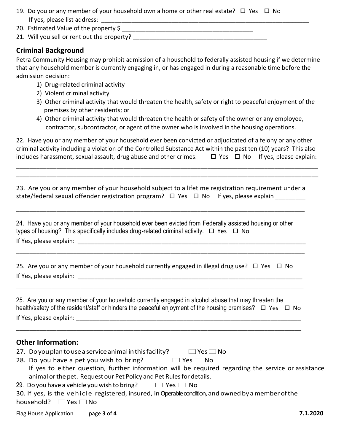- 19. Do you or any member of your household own a home or other real estate?  $\Box$  Yes  $\Box$  No If yes, please list address: \_\_\_\_\_\_\_\_\_\_\_\_\_\_\_\_\_\_\_\_\_\_\_\_\_\_\_\_\_\_\_\_\_\_\_\_\_\_\_\_\_\_\_\_\_\_\_\_\_\_\_\_\_\_\_\_\_\_\_\_\_\_
- 20. Estimated Value of the property \$ \_\_\_\_\_\_\_\_\_\_\_\_\_\_\_\_\_\_\_\_\_\_\_\_\_\_\_\_\_\_\_\_\_\_\_\_\_\_\_
- 21. Will you sell or rent out the property? \_\_\_\_\_\_\_\_\_\_\_\_\_\_\_\_\_\_\_\_\_\_\_\_\_\_\_\_\_\_\_\_\_\_\_\_\_\_\_\_

#### **Criminal Background**

Petra Community Housing may prohibit admission of a household to federally assisted housing if we determine that any household member is currently engaging in, or has engaged in during a reasonable time before the admission decision:

- 1) Drug-related criminal activity
- 2) Violent criminal activity
- 3) Other criminal activity that would threaten the health, safety or right to peaceful enjoyment of the premises by other residents; or
- 4) Other criminal activity that would threaten the health or safety of the owner or any employee, contractor, subcontractor, or agent of the owner who is involved in the housing operations.

22. Have you or any member of your household ever been convicted or adjudicated of a felony or any other criminal activity including a violation of the Controlled Substance Act within the past ten (10) years? This also includes harassment, sexual assault, drug abuse and other crimes.  $\Box$  Yes  $\Box$  No If yes, please explain:

\_\_\_\_\_\_\_\_\_\_\_\_\_\_\_\_\_\_\_\_\_\_\_\_\_\_\_\_\_\_\_\_\_\_\_\_\_\_\_\_\_\_\_\_\_\_\_\_\_\_\_\_\_\_\_\_\_\_\_\_\_\_\_\_\_\_\_\_\_\_\_\_\_\_\_\_\_\_\_\_\_\_\_\_\_\_\_\_\_\_ \_\_\_\_\_\_\_\_\_\_\_\_\_\_\_\_\_\_\_\_\_\_\_\_\_\_\_\_\_\_\_\_\_\_\_\_\_\_\_\_\_\_\_\_\_\_\_\_\_\_\_\_\_\_\_\_\_\_\_\_\_\_\_\_\_\_\_\_\_\_\_\_\_\_\_\_\_\_\_\_\_\_\_\_\_\_\_\_\_\_

23. Are you or any member of your household subject to a lifetime registration requirement under a state/federal sexual offender registration program?  $\Box$  Yes  $\Box$  No If yes, please explain

\_\_\_\_\_\_\_\_\_\_\_\_\_\_\_\_\_\_\_\_\_\_\_\_\_\_\_\_\_\_\_\_\_\_\_\_\_\_\_\_\_\_\_\_\_\_\_\_\_\_\_\_\_\_\_\_\_\_\_\_\_\_\_\_\_\_\_\_\_\_\_\_\_\_\_\_\_\_\_\_\_\_\_\_\_\_

\_\_\_\_\_\_\_\_\_\_\_\_\_\_\_\_\_\_\_\_\_\_\_\_\_\_\_\_\_\_\_\_\_\_\_\_\_\_\_\_\_\_\_\_\_\_\_\_\_\_\_\_\_\_\_\_\_\_\_\_\_\_\_\_\_\_\_\_\_\_\_\_\_\_\_\_\_\_\_\_\_\_\_\_\_\_

| 24. Have you or any member of your household ever been evicted from Federally assisted housing or other |  |
|---------------------------------------------------------------------------------------------------------|--|
| types of housing? This specifically includes drug-related criminal activity. $\Box$ Yes $\Box$ No       |  |
| If Yes, please explain:                                                                                 |  |

25. Are you or any member of your household currently engaged in illegal drug use?  $\Box$  Yes  $\Box$  No If Yes, please explain: \_\_\_\_\_\_\_\_\_\_\_\_\_\_\_\_\_\_\_\_\_\_\_\_\_\_\_\_\_\_\_\_\_\_\_\_\_\_\_\_\_\_\_\_\_\_\_\_\_\_\_\_\_\_\_\_\_\_\_\_\_\_\_\_\_\_\_

25. Are you or any member of your household currently engaged in alcohol abuse that may threaten the health/safety of the resident/staff or hinders the peaceful enjoyment of the housing premises?  $\Box$  Yes  $\Box$  No If Yes, please explain:  $\blacksquare$ 

\_\_\_\_\_\_\_\_\_\_\_\_\_\_\_\_\_\_\_\_\_\_\_\_\_\_\_\_\_\_\_\_\_\_\_\_\_\_\_\_\_\_\_\_\_\_\_\_\_\_\_\_\_\_\_\_\_\_\_\_\_\_\_\_\_\_\_\_\_\_\_\_\_\_\_\_\_\_\_\_\_\_\_\_\_

\_\_\_\_\_\_\_\_\_\_\_\_\_\_\_\_\_\_\_\_\_\_\_\_\_\_\_\_\_\_\_\_\_\_\_\_\_\_\_\_\_\_\_\_\_\_\_\_\_\_\_\_\_\_\_\_\_\_\_\_\_\_\_\_\_\_\_\_\_\_\_\_\_\_\_\_\_\_\_\_\_\_\_\_\_\_\_\_\_

#### **Other Information:**

- 27. Do you plan to use a service animal in this facility?  $\Box$  Yes  $\Box$  No
- 28. Do you have a pet you wish to bring?  $\Box$  Yes  $\Box$  No
	- If yes to either question, further information will be required regarding the service or assistance animal or the pet. Request our Pet Policy and Pet Rules for details.
- 29. Do you have a vehicle you wish to bring?  $\Box$  Yes  $\Box$  No

|                                 |  |  |  |  | 30. If yes, is the vehicle registered, insured, in Operable condition, and owned by a member of the |
|---------------------------------|--|--|--|--|-----------------------------------------------------------------------------------------------------|
| household? $\Box$ Yes $\Box$ No |  |  |  |  |                                                                                                     |